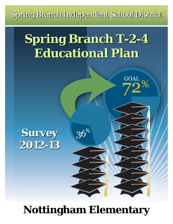Spring Branch Independent School District

# **Spring Branch T-2-4 Spring Branch T-2-4 Educational Plan Educational Plan**

GOAL<br>70%

### **Survey 2012-13 2012-13**

## **Nottingham Elementary**

 $36\%$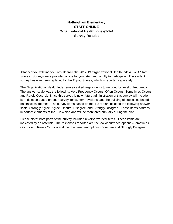#### **Nottingham Elementary STAFF ONLINE Organizational Health Index/T-2-4 Survey Results**

Attached you will find your results from the 2012-13 Organizational Health Index/ T-2-4 Staff Survey. Surveys were provided online for your staff and faculty to participate. The student survey has now been replaced by the Tripod Survey, which is reported separately.

The Organizational Health Index survey asked respondents to respond by level of frequency. The answer scale was the following: Very Frequently Occurs, Often Occurs, Sometimes Occurs, and Rarely Occurs). Since this survey is new, future administration of this survey will include item deletion based on poor survey items, item revisions, and the building of subscales based on statistical themes. The survey items based on the T-2-4 plan included the following answer scale: Strongly Agree, Agree, Unsure, Disagree, and Strongly Disagree. These items address important elements of the T-2-4 plan and will be monitored annually during the plan.

Please Note: Both parts of the survey included reverse-worded items. These items are indicated by an asterisk. The responses reported are the low occurrence options (Sometimes Occurs and Rarely Occurs) and the disagreement options (Disagree and Strongly Disagree).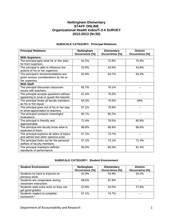#### **Nottingham Elementary STAFF ONLINE Organizational Health Index/T-2-4 SURVEY 2012-2013 (N=35)**

| Occurrence (%) |
|----------------|
|                |
|                |
|                |
|                |
|                |
|                |
|                |
|                |
|                |
|                |
|                |
|                |
|                |
|                |
|                |
|                |
|                |
|                |
|                |
|                |
|                |
|                |
|                |
|                |
|                |
|                |
|                |
|                |
|                |
|                |

#### **SUBSCALE CATEGORY: Principal Relations**

#### **SUBSCALE CATEGORY: Student Environment**

| <b>Student Environment</b>                                | Nottingham<br>Occurrence (%) | <b>Elementary</b><br>Occurrence (%) | <b>District</b><br>Occurrence (%) |
|-----------------------------------------------------------|------------------------------|-------------------------------------|-----------------------------------|
| Students try hard to improve on<br>previous work.         | 42.9%                        | 53.9%                               | 50.2%                             |
| Students are cooperative during<br>classroom instruction. | 68.6%                        | 87.8%                               |                                   |
| Students seek extra work so they can<br>get good grades.  | 22.9%                        | 24.0%                               | 27.8%                             |
| Students neglect to complete<br>homework.*                | 57.1%                        | 74.7%                               |                                   |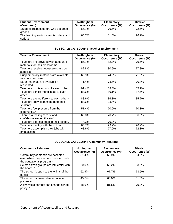| <b>Student Environment</b><br>(Continued)           | Nottingham<br>Occurrence (%) | <b>Elementary</b><br>Occurrence (%) | <b>District</b><br>Occurrence (%) |
|-----------------------------------------------------|------------------------------|-------------------------------------|-----------------------------------|
| Students respect others who get good<br>grades.     | 65.7%                        | 79.6%                               | 72.5%                             |
| The learning environment is orderly and<br>serious. | 65.7%                        | 81.5%                               | 76.2%                             |

#### **SUBSCALE CATEGORY: Teacher Environment**

| <b>Teacher Environment</b>               | Nottingham     | Elementary     | <b>District</b> |
|------------------------------------------|----------------|----------------|-----------------|
|                                          | Occurrence (%) | Occurrence (%) | Occurrence (%)  |
| Teachers are provided with adequate      | 85.7%          | 82.3%          | 79.5%           |
| materials for their classrooms.          |                |                |                 |
| Teachers receive necessary classroom     | 82.8%          | 80.9%          | 77.8%           |
| supplies.                                |                |                |                 |
| Supplementary materials are available    | 62.9%          | 74.6%          | 71.5%           |
| for classroom use.                       |                |                |                 |
| Extra materials are available if         | 71.4%          | 73.5%          | 70.8%           |
| requested.                               |                |                |                 |
| Teachers in this school like each other. | 91.4%          | 88.3%          | 85.7%           |
| Teachers exhibit friendliness to each    | 88.6%          | 89.1%          | 87.5%           |
| other.                                   |                |                |                 |
| Teachers are indifferent to each other.* | 88.6%          | 86.3%          | 85.2%           |
| Teachers show commitment to their        | 88.6%          | 93.4%          |                 |
| students.                                |                |                |                 |
| Teachers feel pressure from the          | 51.4%          | 70.9%          | 70.3%           |
| community.*                              |                |                |                 |
| There is a feeling of trust and          | 60.0%          | 70.7%          | 66.8%           |
| confidence among the staff.              |                |                |                 |
| Teachers express pride in their school.  | 74.3%          | 79.0%          |                 |
| Teachers identify with the school.       | 65.7%          | 79.2%          | 76.2%           |
| Teachers accomplish their jobs with      | 68.6%          | 77.6%          | 72.3%           |
| enthusiasm.                              |                |                |                 |

#### **SUBSCALE CATEGORY: Community Relations**

| <b>Community Relations</b>                                                                            | Nottingham<br>Occurrence (%) | <b>Elementary</b><br>Occurrence (%) | <b>District</b><br>Occurrence (%) |
|-------------------------------------------------------------------------------------------------------|------------------------------|-------------------------------------|-----------------------------------|
| Community demands are accepted<br>even when they are not consistent with<br>the educational program.* | 51.4%                        | 62.9%                               | 64.9%                             |
| Select citizen groups are influential with<br>the board. *                                            | 60.0%                        | 66.2%                               | 63.5%                             |
| The school is open to the whims of the<br>public.*                                                    | 62.9%                        | 67.7%                               | 73.5%                             |
| The school is vulnerable to outside<br>pressures.*                                                    | 45.7%                        | 66.0%                               | 61.6%                             |
| A few vocal parents can change school<br>policy. *                                                    | 68.6%                        | 81.5%                               | 79.9%                             |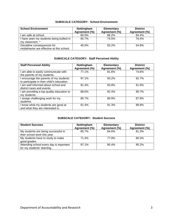#### **SUBSCALE CATEGORY: School Environment**

| <b>School Environment</b>                 | Nottingham    | <b>Elementary</b> | <b>District</b> |
|-------------------------------------------|---------------|-------------------|-----------------|
|                                           | Agreement (%) | Agreement (%)     | Agreement (%)   |
| am safe at school.                        | 80.0%         | 86.2%             | 84.4%           |
| I have seen my students being bullied in  | 65.7%         | 74.5%             | 76.4%           |
| my classroom. *                           |               |                   |                 |
| Discipline consequences for               | 40.0%         | 55.2%             | 54.8%           |
| misbehavior are effective at this school. |               |                   |                 |

#### **SUBSCALE CATEGORY: Staff Perceived Ability**

| <b>Staff Perceived Ability</b>                                                       | Nottingham<br>Agreement (%) | <b>Elementary</b><br>Agreement (%) | <b>District</b><br>Agreement (%) |
|--------------------------------------------------------------------------------------|-----------------------------|------------------------------------|----------------------------------|
| I am able to easily communicate with<br>the parents of my students.                  | 77.1%                       | 81.6%                              | 74.6%                            |
| I encourage the parents of my students<br>to participate in their child's education. | 97.1%                       | 93.2%                              | 92.7%                            |
| am well informed about school and<br>district news and events.                       | 91.4%                       | 93.9%                              | 91.9%                            |
| I am providing a top quality education to<br>my students.                            | 88.6%                       | 92.4%                              | 90.7%                            |
| l assign challenging work for my<br>students.                                        | 85.7%                       | 89.9%                              | 87.9%                            |
| I know what my students are good at<br>and what they are interested in.              | 91.4%                       | 91.3%                              | 89.8%                            |

#### **SUBSCALE CATEGORY: Student Success**

| <b>Student Success</b>                  | Nottingham<br>Agreement (%) | <b>Elementary</b><br>Agreement (%) | <b>District</b><br>Agreement (%) |
|-----------------------------------------|-----------------------------|------------------------------------|----------------------------------|
| My students are being successful in     | 85.7%                       | 84.6%                              | 81.3%                            |
| their school work this year.            |                             |                                    |                                  |
| My students have to study to make       | 71.4%                       | 77.9%                              | 80.3%                            |
| good grades.                            |                             |                                    |                                  |
| Attending school every day is important | 97.1%                       | 95.4%                              | $95.2\%$                         |
| for my students' learning.              |                             |                                    |                                  |